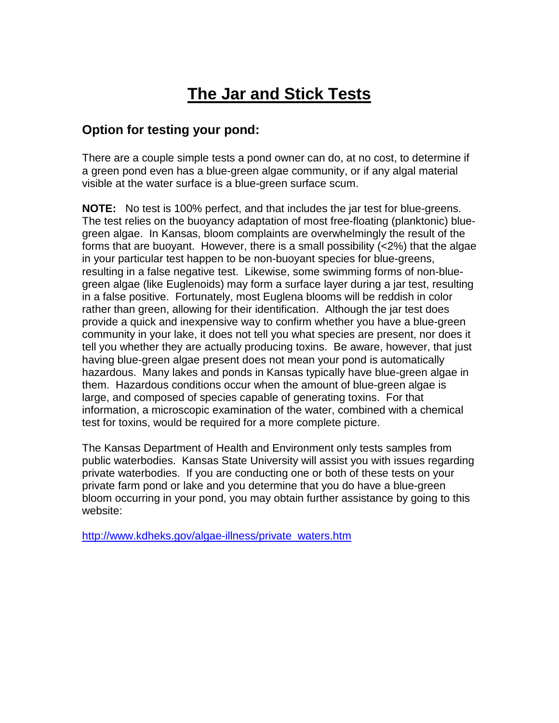# **The Jar and Stick Tests**

### **Option for testing your pond:**

There are a couple simple tests a pond owner can do, at no cost, to determine if a green pond even has a blue-green algae community, or if any algal material visible at the water surface is a blue-green surface scum.

**NOTE:** No test is 100% perfect, and that includes the jar test for blue-greens. The test relies on the buoyancy adaptation of most free-floating (planktonic) bluegreen algae. In Kansas, bloom complaints are overwhelmingly the result of the forms that are buoyant. However, there is a small possibility (<2%) that the algae in your particular test happen to be non-buoyant species for blue-greens, resulting in a false negative test. Likewise, some swimming forms of non-bluegreen algae (like Euglenoids) may form a surface layer during a jar test, resulting in a false positive. Fortunately, most Euglena blooms will be reddish in color rather than green, allowing for their identification. Although the jar test does provide a quick and inexpensive way to confirm whether you have a blue-green community in your lake, it does not tell you what species are present, nor does it tell you whether they are actually producing toxins. Be aware, however, that just having blue-green algae present does not mean your pond is automatically hazardous. Many lakes and ponds in Kansas typically have blue-green algae in them. Hazardous conditions occur when the amount of blue-green algae is large, and composed of species capable of generating toxins. For that information, a microscopic examination of the water, combined with a chemical test for toxins, would be required for a more complete picture.

The Kansas Department of Health and Environment only tests samples from public waterbodies. Kansas State University will assist you with issues regarding private waterbodies. If you are conducting one or both of these tests on your private farm pond or lake and you determine that you do have a blue-green bloom occurring in your pond, you may obtain further assistance by going to this website:

[http://www.kdheks.gov/algae-illness/private\\_waters.htm](http://www.kdheks.gov/algae-illness/private_waters.htm)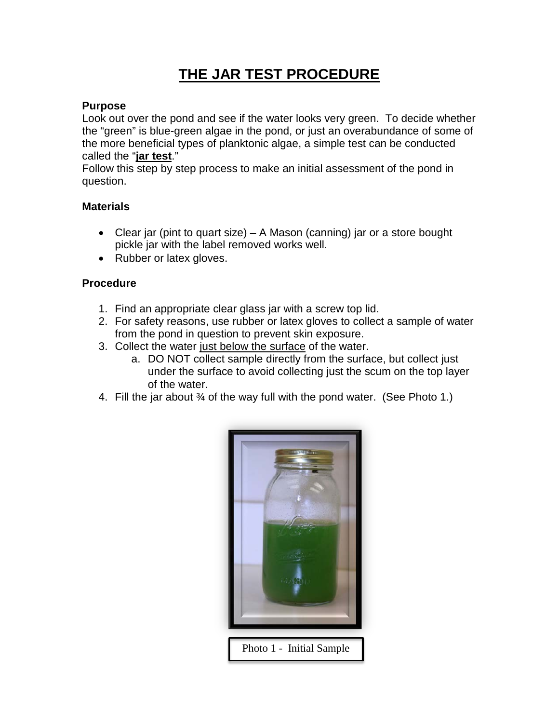## **THE JAR TEST PROCEDURE**

#### **Purpose**

Look out over the pond and see if the water looks very green. To decide whether the "green" is blue-green algae in the pond, or just an overabundance of some of the more beneficial types of planktonic algae, a simple test can be conducted called the "**jar test**."

Follow this step by step process to make an initial assessment of the pond in question.

#### **Materials**

- Clear jar (pint to quart size) A Mason (canning) jar or a store bought pickle jar with the label removed works well.
- Rubber or latex gloves.

#### **Procedure**

- 1. Find an appropriate clear glass jar with a screw top lid.
- 2. For safety reasons, use rubber or latex gloves to collect a sample of water from the pond in question to prevent skin exposure.
- 3. Collect the water just below the surface of the water.
	- a. DO NOT collect sample directly from the surface, but collect just under the surface to avoid collecting just the scum on the top layer of the water.
- 4. Fill the jar about ¾ of the way full with the pond water. (See Photo 1.)

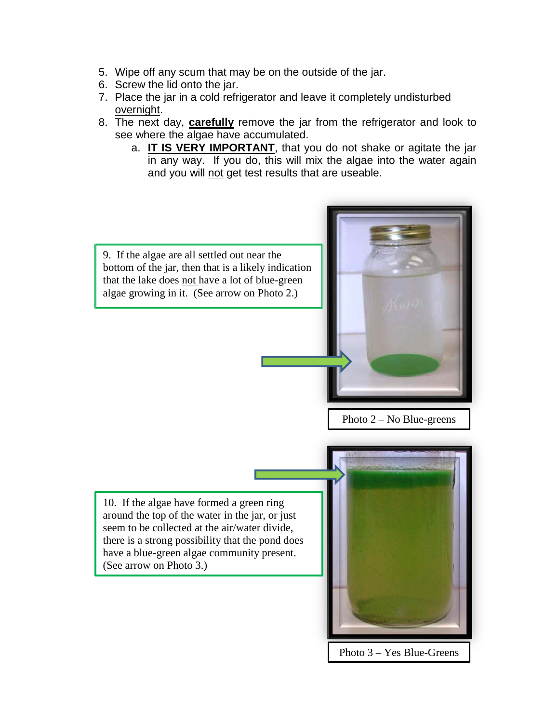- 5. Wipe off any scum that may be on the outside of the jar.
- 6. Screw the lid onto the jar.
- 7. Place the jar in a cold refrigerator and leave it completely undisturbed overnight.
- 8. The next day, **carefully** remove the jar from the refrigerator and look to see where the algae have accumulated.
	- a. **IT IS VERY IMPORTANT**, that you do not shake or agitate the jar in any way. If you do, this will mix the algae into the water again and you will not get test results that are useable.

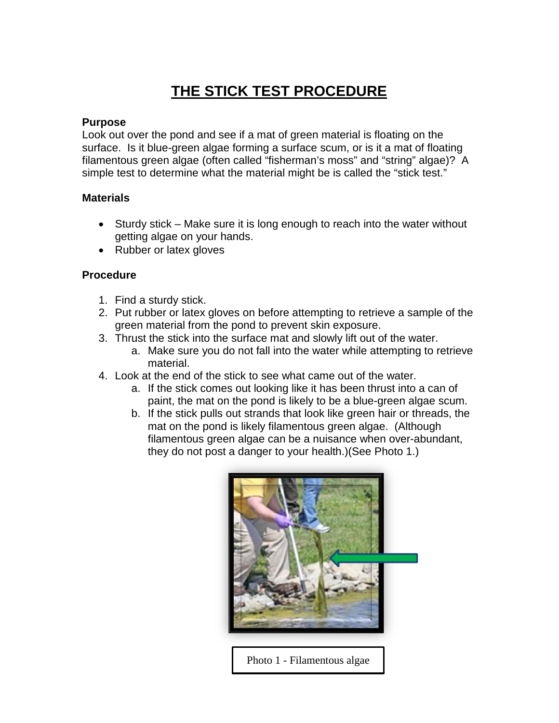### **THE STICK TEST PROCEDURE**

#### **Purpose**

Look out over the pond and see if a mat of green material is floating on the surface. Is it blue-green algae forming a surface scum, or is it a mat of floating filamentous green algae (often called "fisherman's moss" and "string" algae)? A simple test to determine what the material might be is called the "stick test."

#### **Materials**

- Sturdy stick Make sure it is long enough to reach into the water without getting algae on your hands.
- Rubber or latex gloves

#### **Procedure**

- 1. Find a sturdy stick.
- 2. Put rubber or latex gloves on before attempting to retrieve a sample of the green material from the pond to prevent skin exposure.
- 3. Thrust the stick into the surface mat and slowly lift out of the water.
	- a. Make sure you do not fall into the water while attempting to retrieve material.
- 4. Look at the end of the stick to see what came out of the water.
	- a. If the stick comes out looking like it has been thrust into a can of paint, the mat on the pond is likely to be a blue-green algae scum.
	- b. If the stick pulls out strands that look like green hair or threads, the mat on the pond is likely filamentous green algae. (Although filamentous green algae can be a nuisance when over-abundant, they do not post a danger to your health.)(See Photo 1.)



Photo 1 - Filamentous algae